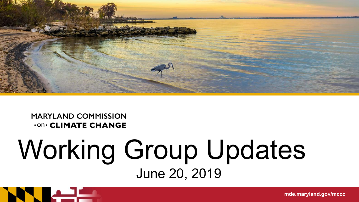

**MARYLAND COMMISSION .on. CLIMATE CHANGE** 

### Working Group Updates June 20, 2019

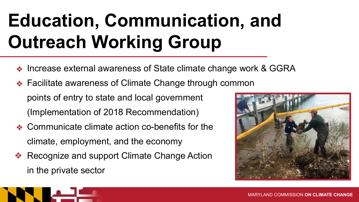## **Education, Communication, and Outreach Working Group**

- ❖ Increase external awareness of State climate change work & GGRA
- ❖ Facilitate awareness of Climate Change through common points of entry to state and local government (Implementation of 2018 Recommendation)
- ❖ Communicate climate action co-benefits for the climate, employment, and the economy
- ❖ Recognize and support Climate Change Action in the private sector



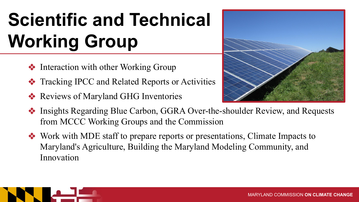# **Scientific and Technical Working Group**

- **❖** Interaction with other Working Group
- ❖ Tracking IPCC and Related Reports or Activities
- ❖ Reviews of Maryland GHG Inventories



- ❖ Insights Regarding Blue Carbon, GGRA Over-the-shoulder Review, and Requests from MCCC Working Groups and the Commission
- ❖ Work with MDE staff to prepare reports or presentations, Climate Impacts to Maryland's Agriculture, Building the Maryland Modeling Community, and Innovation

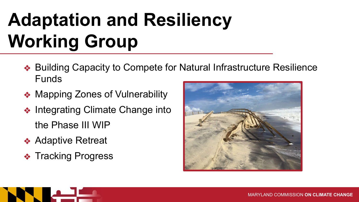## **Adaptation and Resiliency Working Group**

- ❖ Building Capacity to Compete for Natural Infrastructure Resilience Funds
- ❖ Mapping Zones of Vulnerability
- ❖ Integrating Climate Change into the Phase III WIP
- **❖ Adaptive Retreat**
- **❖ Tracking Progress**